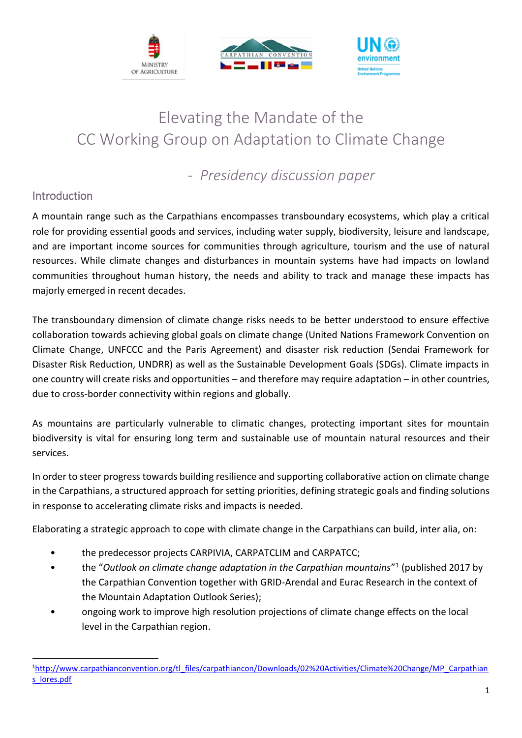

# Elevating the Mandate of the CC Working Group on Adaptation to Climate Change

- *Presidency discussion paper*

### Introduction

 $\overline{a}$ 

A mountain range such as the Carpathians encompasses transboundary ecosystems, which play a critical role for providing essential goods and services, including water supply, biodiversity, leisure and landscape, and are important income sources for communities through agriculture, tourism and the use of natural resources. While climate changes and disturbances in mountain systems have had impacts on lowland communities throughout human history, the needs and ability to track and manage these impacts has majorly emerged in recent decades.

The transboundary dimension of climate change risks needs to be better understood to ensure effective collaboration towards achieving global goals on climate change (United Nations Framework Convention on Climate Change, UNFCCC and the Paris Agreement) and disaster risk reduction (Sendai Framework for Disaster Risk Reduction, UNDRR) as well as the Sustainable Development Goals (SDGs). Climate impacts in one country will create risks and opportunities – and therefore may require adaptation – in other countries, due to cross-border connectivity within regions and globally.

As mountains are particularly vulnerable to climatic changes, protecting important sites for mountain biodiversity is vital for ensuring long term and sustainable use of mountain natural resources and their services.

In order to steer progress towards building resilience and supporting collaborative action on climate change in the Carpathians, a structured approach for setting priorities, defining strategic goals and finding solutions in response to accelerating climate risks and impacts is needed.

Elaborating a strategic approach to cope with climate change in the Carpathians can build, inter alia, on:

- the predecessor projects CARPIVIA, CARPATCLIM and CARPATCC;
- the "Outlook on climate change adaptation in the Carpathian mountains"<sup>1</sup> (published 2017 by the Carpathian Convention together with GRID-Arendal and Eurac Research in the context of the Mountain Adaptation Outlook Series);
- ongoing work to improve high resolution projections of climate change effects on the local level in the Carpathian region.

<sup>1</sup>[http://www.carpathianconvention.org/tl\\_files/carpathiancon/Downloads/02%20Activities/Climate%20Change/MP\\_Carpathian](http://www.carpathianconvention.org/tl_files/carpathiancon/Downloads/02%20Activities/Climate%20Change/MP_Carpathians_lores.pdf) [s\\_lores.pdf](http://www.carpathianconvention.org/tl_files/carpathiancon/Downloads/02%20Activities/Climate%20Change/MP_Carpathians_lores.pdf)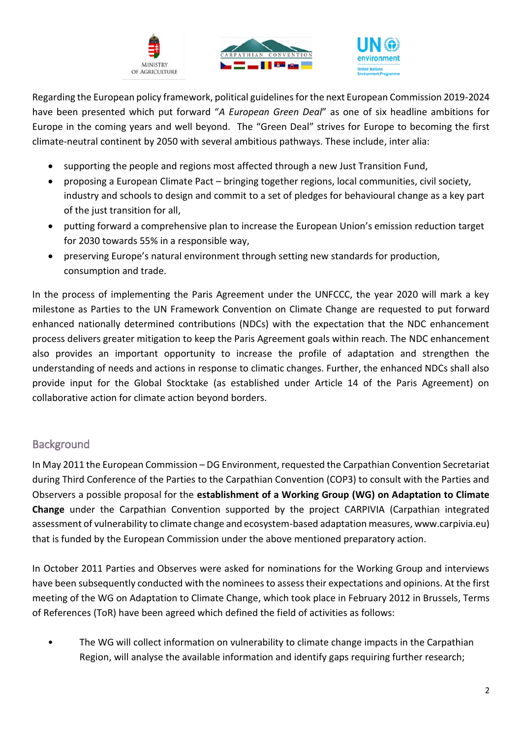





Regarding the European policy framework, political guidelines for the next European Commission 2019-2024 have been presented which put forward "*A European Green Deal*" as one of six headline ambitions for Europe in the coming years and well beyond. The "Green Deal" strives for Europe to becoming the first climate-neutral continent by 2050 with several ambitious pathways. These include, inter alia:

- supporting the people and regions most affected through a new Just Transition Fund,
- proposing a European Climate Pact bringing together regions, local communities, civil society, industry and schools to design and commit to a set of pledges for behavioural change as a key part of the just transition for all,
- putting forward a comprehensive plan to increase the European Union's emission reduction target for 2030 towards 55% in a responsible way,
- preserving Europe's natural environment through setting new standards for production, consumption and trade.

In the process of implementing the Paris Agreement under the UNFCCC, the year 2020 will mark a key milestone as Parties to the UN Framework Convention on Climate Change are requested to put forward enhanced nationally determined contributions (NDCs) with the expectation that the NDC enhancement process delivers greater mitigation to keep the Paris Agreement goals within reach. The NDC enhancement also provides an important opportunity to increase the profile of adaptation and strengthen the understanding of needs and actions in response to climatic changes. Further, the enhanced NDCs shall also provide input for the Global Stocktake (as established under Article 14 of the Paris Agreement) on collaborative action for climate action beyond borders.

## **Background**

In May 2011 the European Commission – DG Environment, requested the Carpathian Convention Secretariat during Third Conference of the Parties to the Carpathian Convention (COP3) to consult with the Parties and Observers a possible proposal for the **establishment of a Working Group (WG) on Adaptation to Climate Change** under the Carpathian Convention supported by the project CARPIVIA (Carpathian integrated assessment of vulnerability to climate change and ecosystem-based adaptation measures, www.carpivia.eu) that is funded by the European Commission under the above mentioned preparatory action.

In October 2011 Parties and Observes were asked for nominations for the Working Group and interviews have been subsequently conducted with the nominees to assess their expectations and opinions. At the first meeting of the WG on Adaptation to Climate Change, which took place in February 2012 in Brussels, Terms of References (ToR) have been agreed which defined the field of activities as follows:

• The WG will collect information on vulnerability to climate change impacts in the Carpathian Region, will analyse the available information and identify gaps requiring further research;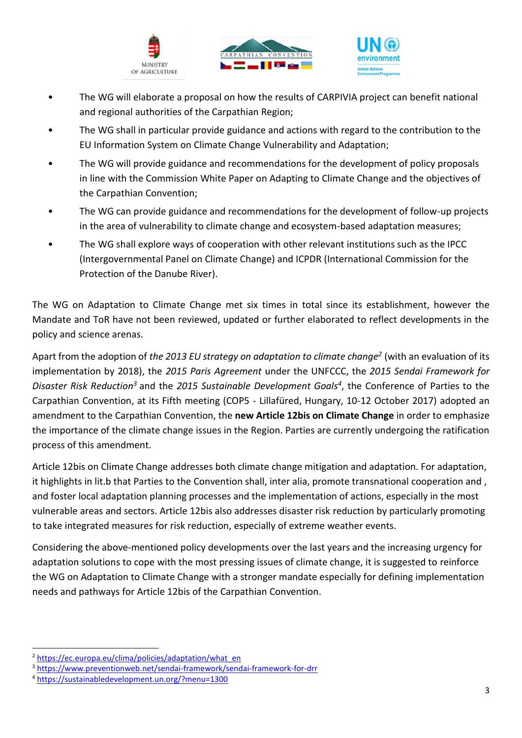





- The WG will elaborate a proposal on how the results of CARPIVIA project can benefit national and regional authorities of the Carpathian Region;
- The WG shall in particular provide guidance and actions with regard to the contribution to the EU Information System on Climate Change Vulnerability and Adaptation;
- The WG will provide guidance and recommendations for the development of policy proposals in line with the Commission White Paper on Adapting to Climate Change and the objectives of the Carpathian Convention;
- The WG can provide guidance and recommendations for the development of follow-up projects in the area of vulnerability to climate change and ecosystem-based adaptation measures;
- The WG shall explore ways of cooperation with other relevant institutions such as the IPCC (Intergovernmental Panel on Climate Change) and ICPDR (International Commission for the Protection of the Danube River).

The WG on Adaptation to Climate Change met six times in total since its establishment, however the Mandate and ToR have not been reviewed, updated or further elaborated to reflect developments in the policy and science arenas.

Apart from the adoption of *the 2013 EU strategy on adaptation to climate change<sup>2</sup>* (with an evaluation of its implementation by 2018), the *2015 Paris Agreement* under the UNFCCC, the *2015 Sendai Framework for Disaster Risk Reduction<sup>3</sup>* and the *2015 Sustainable Development Goals<sup>4</sup>* , the Conference of Parties to the Carpathian Convention, at its Fifth meeting (COP5 - Lillafüred, Hungary, 10-12 October 2017) adopted an amendment to the Carpathian Convention, the **new Article 12bis on Climate Change** in order to emphasize the importance of the climate change issues in the Region. Parties are currently undergoing the ratification process of this amendment.

Article 12bis on Climate Change addresses both climate change mitigation and adaptation. For adaptation, it highlights in lit.b that Parties to the Convention shall, inter alia, promote transnational cooperation and , and foster local adaptation planning processes and the implementation of actions, especially in the most vulnerable areas and sectors. Article 12bis also addresses disaster risk reduction by particularly promoting to take integrated measures for risk reduction, especially of extreme weather events.

Considering the above-mentioned policy developments over the last years and the increasing urgency for adaptation solutions to cope with the most pressing issues of climate change, it is suggested to reinforce the WG on Adaptation to Climate Change with a stronger mandate especially for defining implementation needs and pathways for Article 12bis of the Carpathian Convention.

 $\overline{a}$ 

<sup>&</sup>lt;sup>2</sup> [https://ec.europa.eu/clima/policies/adaptation/what\\_en](https://ec.europa.eu/clima/policies/adaptation/what_en)

<sup>3</sup> <https://www.preventionweb.net/sendai-framework/sendai-framework-for-drr>

<sup>4</sup> <https://sustainabledevelopment.un.org/?menu=1300>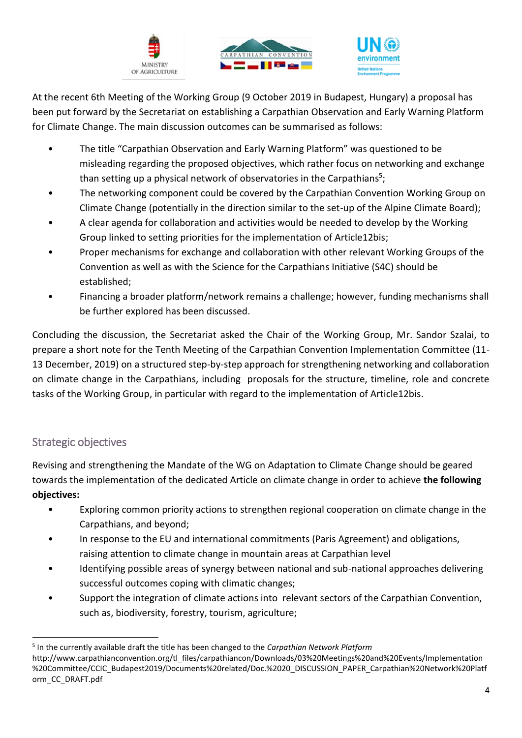





At the recent 6th Meeting of the Working Group (9 October 2019 in Budapest, Hungary) a proposal has been put forward by the Secretariat on establishing a Carpathian Observation and Early Warning Platform for Climate Change. The main discussion outcomes can be summarised as follows:

- The title "Carpathian Observation and Early Warning Platform" was questioned to be misleading regarding the proposed objectives, which rather focus on networking and exchange than setting up a physical network of observatories in the Carpathians<sup>5</sup>;
- The networking component could be covered by the Carpathian Convention Working Group on Climate Change (potentially in the direction similar to the set-up of the Alpine Climate Board);
- A clear agenda for collaboration and activities would be needed to develop by the Working Group linked to setting priorities for the implementation of Article12bis;
- Proper mechanisms for exchange and collaboration with other relevant Working Groups of the Convention as well as with the Science for the Carpathians Initiative (S4C) should be established;
- Financing a broader platform/network remains a challenge; however, funding mechanisms shall be further explored has been discussed.

Concluding the discussion, the Secretariat asked the Chair of the Working Group, Mr. Sandor Szalai, to prepare a short note for the Tenth Meeting of the Carpathian Convention Implementation Committee (11- 13 December, 2019) on a structured step-by-step approach for strengthening networking and collaboration on climate change in the Carpathians, including proposals for the structure, timeline, role and concrete tasks of the Working Group, in particular with regard to the implementation of Article12bis.

## Strategic objectives

Revising and strengthening the Mandate of the WG on Adaptation to Climate Change should be geared towards the implementation of the dedicated Article on climate change in order to achieve **the following objectives:**

- Exploring common priority actions to strengthen regional cooperation on climate change in the Carpathians, and beyond;
- In response to the EU and international commitments (Paris Agreement) and obligations, raising attention to climate change in mountain areas at Carpathian level
- Identifying possible areas of synergy between national and sub-national approaches delivering successful outcomes coping with climatic changes;
- Support the integration of climate actions into relevant sectors of the Carpathian Convention, such as, biodiversity, forestry, tourism, agriculture;

 $\overline{a}$ 5 In the currently available draft the title has been changed to the *Carpathian Network Platform*

http://www.carpathianconvention.org/tl\_files/carpathiancon/Downloads/03%20Meetings%20and%20Events/Implementation %20Committee/CCIC\_Budapest2019/Documents%20related/Doc.%2020\_DISCUSSION\_PAPER\_Carpathian%20Network%20Platf orm\_CC\_DRAFT.pdf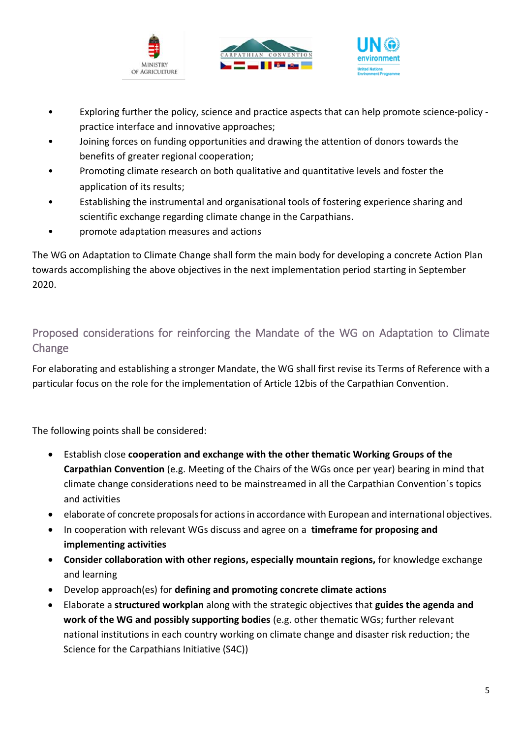





- Exploring further the policy, science and practice aspects that can help promote science-policy practice interface and innovative approaches;
- Joining forces on funding opportunities and drawing the attention of donors towards the benefits of greater regional cooperation;
- Promoting climate research on both qualitative and quantitative levels and foster the application of its results;
- Establishing the instrumental and organisational tools of fostering experience sharing and scientific exchange regarding climate change in the Carpathians.
- promote adaptation measures and actions

The WG on Adaptation to Climate Change shall form the main body for developing a concrete Action Plan towards accomplishing the above objectives in the next implementation period starting in September 2020.

Proposed considerations for reinforcing the Mandate of the WG on Adaptation to Climate Change

For elaborating and establishing a stronger Mandate, the WG shall first revise its Terms of Reference with a particular focus on the role for the implementation of Article 12bis of the Carpathian Convention.

The following points shall be considered:

- Establish close **cooperation and exchange with the other thematic Working Groups of the Carpathian Convention** (e.g. Meeting of the Chairs of the WGs once per year) bearing in mind that climate change considerations need to be mainstreamed in all the Carpathian Convention´s topics and activities
- elaborate of concrete proposals for actions in accordance with European and international objectives.
- In cooperation with relevant WGs discuss and agree on a **timeframe for proposing and implementing activities**
- **Consider collaboration with other regions, especially mountain regions,** for knowledge exchange and learning
- Develop approach(es) for **defining and promoting concrete climate actions**
- Elaborate a **structured workplan** along with the strategic objectives that **guides the agenda and work of the WG and possibly supporting bodies** (e.g. other thematic WGs; further relevant national institutions in each country working on climate change and disaster risk reduction; the Science for the Carpathians Initiative (S4C))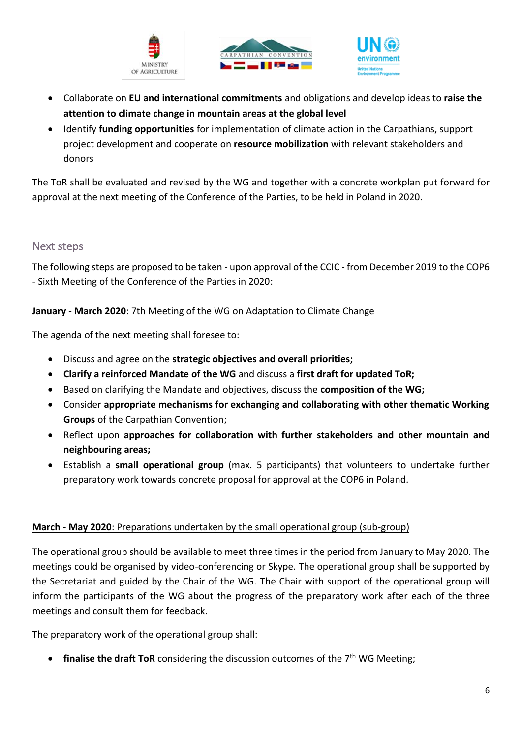





- Collaborate on **EU and international commitments** and obligations and develop ideas to **raise the attention to climate change in mountain areas at the global level**
- Identify **funding opportunities** for implementation of climate action in the Carpathians, support project development and cooperate on **resource mobilization** with relevant stakeholders and donors

The ToR shall be evaluated and revised by the WG and together with a concrete workplan put forward for approval at the next meeting of the Conference of the Parties, to be held in Poland in 2020.

#### Next steps

The following steps are proposed to be taken - upon approval of the CCIC - from December 2019 to the COP6 - Sixth Meeting of the Conference of the Parties in 2020:

#### **January - March 2020**: 7th Meeting of the WG on Adaptation to Climate Change

The agenda of the next meeting shall foresee to:

- Discuss and agree on the **strategic objectives and overall priorities;**
- **Clarify a reinforced Mandate of the WG** and discuss a **first draft for updated ToR;**
- Based on clarifying the Mandate and objectives, discuss the **composition of the WG;**
- Consider **appropriate mechanisms for exchanging and collaborating with other thematic Working Groups** of the Carpathian Convention;
- Reflect upon **approaches for collaboration with further stakeholders and other mountain and neighbouring areas;**
- Establish a **small operational group** (max. 5 participants) that volunteers to undertake further preparatory work towards concrete proposal for approval at the COP6 in Poland.

#### **March - May 2020**: Preparations undertaken by the small operational group (sub-group)

The operational group should be available to meet three times in the period from January to May 2020. The meetings could be organised by video-conferencing or Skype. The operational group shall be supported by the Secretariat and guided by the Chair of the WG. The Chair with support of the operational group will inform the participants of the WG about the progress of the preparatory work after each of the three meetings and consult them for feedback.

The preparatory work of the operational group shall:

• **finalise the draft ToR** considering the discussion outcomes of the 7th WG Meeting;